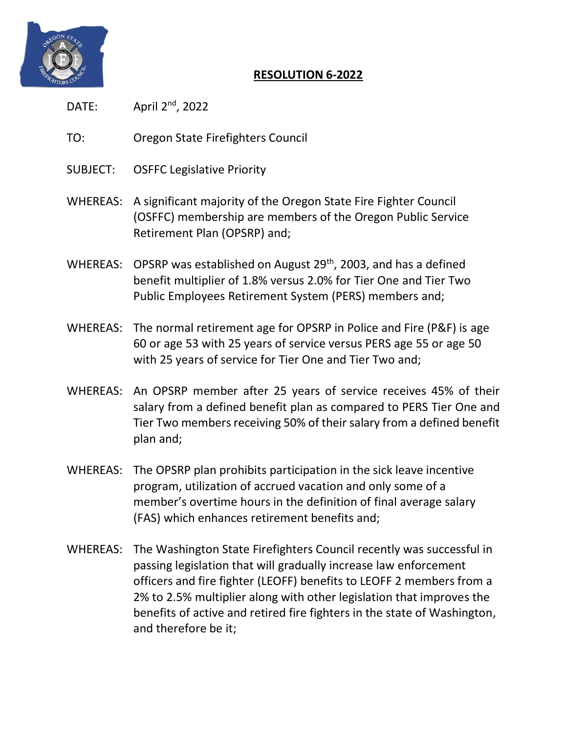

## **RESOLUTION 6-2022**

- DATE: April  $2^{nd}$ , 2022
- TO: Oregon State Firefighters Council
- SUBJECT: OSFFC Legislative Priority
- WHEREAS: A significant majority of the Oregon State Fire Fighter Council (OSFFC) membership are members of the Oregon Public Service Retirement Plan (OPSRP) and;
- WHEREAS: OPSRP was established on August 29<sup>th</sup>, 2003, and has a defined benefit multiplier of 1.8% versus 2.0% for Tier One and Tier Two Public Employees Retirement System (PERS) members and;
- WHEREAS: The normal retirement age for OPSRP in Police and Fire (P&F) is age 60 or age 53 with 25 years of service versus PERS age 55 or age 50 with 25 years of service for Tier One and Tier Two and;
- WHEREAS: An OPSRP member after 25 years of service receives 45% of their salary from a defined benefit plan as compared to PERS Tier One and Tier Two members receiving 50% of their salary from a defined benefit plan and;
- WHEREAS: The OPSRP plan prohibits participation in the sick leave incentive program, utilization of accrued vacation and only some of a member's overtime hours in the definition of final average salary (FAS) which enhances retirement benefits and;
- WHEREAS: The Washington State Firefighters Council recently was successful in passing legislation that will gradually increase law enforcement officers and fire fighter (LEOFF) benefits to LEOFF 2 members from a 2% to 2.5% multiplier along with other legislation that improves the benefits of active and retired fire fighters in the state of Washington, and therefore be it;